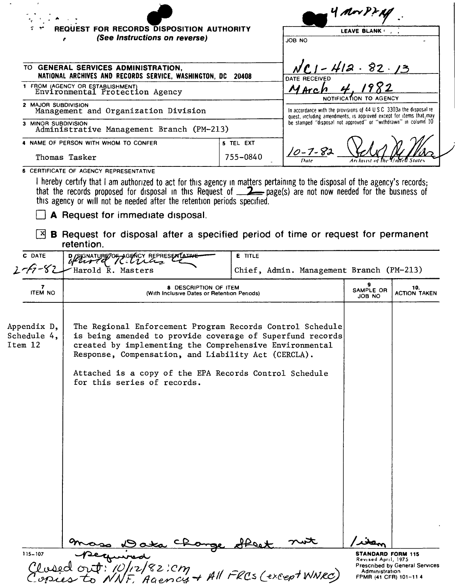|                                       | REQUEST FOR RECORDS DISPOSITION AUTHORITY<br>(See Instructions on reverse)                                                                                                                                                                                                                                                        |                |                                                                                                                                             | LEAVE BLANK         |                            |
|---------------------------------------|-----------------------------------------------------------------------------------------------------------------------------------------------------------------------------------------------------------------------------------------------------------------------------------------------------------------------------------|----------------|---------------------------------------------------------------------------------------------------------------------------------------------|---------------------|----------------------------|
|                                       | TO GENERAL SERVICES ADMINISTRATION,<br>NATIONAL ARCHIVES AND RECORDS SERVICE, WASHINGTON, DC                                                                                                                                                                                                                                      | 20408          | <b>DATE RECEIVED</b>                                                                                                                        | 412.82.13           |                            |
|                                       | 1 FROM (AGENCY OR ESTABLISHMENT)<br>Environmental Protection Agency                                                                                                                                                                                                                                                               |                | MArch                                                                                                                                       |                     |                            |
| 2 MAJOR SUBDIVISION                   | Management and Organization Division                                                                                                                                                                                                                                                                                              |                | In accordance with the provisions of 44 U.S.C. 3303a the disposal re-<br>quest, including amendments, is approved except for items that may |                     |                            |
| 3 MINOR SUBDIVISION                   | Administrative Management Branch (PM-213)                                                                                                                                                                                                                                                                                         |                | be stamped "disposal not approved" or "withdrawn" in column 10                                                                              |                     |                            |
|                                       | 4 NAME OF PERSON WITH WHOM TO CONFER                                                                                                                                                                                                                                                                                              | 5 TEL EXT      |                                                                                                                                             |                     |                            |
|                                       | Thomas Tasker                                                                                                                                                                                                                                                                                                                     | 755-0840       |                                                                                                                                             |                     |                            |
| x <br>C DATE                          | A Request for immediate disposal.<br><b>B</b> Request for disposal after a specified period of time or request for permanent<br>retention.<br>D/SIGNATURE TO GENCY REPRESENTATIV                                                                                                                                                  | <b>E</b> TITLE |                                                                                                                                             |                     |                            |
|                                       | Harold R. Masters                                                                                                                                                                                                                                                                                                                 |                | Chief, Admin. Management Branch (PM-213)                                                                                                    |                     |                            |
|                                       |                                                                                                                                                                                                                                                                                                                                   |                |                                                                                                                                             |                     |                            |
| 7<br><b>ITEM NO</b>                   | <b>8 DESCRIPTION OF ITEM</b><br>(With Inclusive Dates or Retention Periods)                                                                                                                                                                                                                                                       |                |                                                                                                                                             | SAMPLE OR<br>JOB NO | 10.<br><b>ACTION TAKEN</b> |
| Appendix D,<br>Schedule 4,<br>Item 12 | The Regional Enforcement Program Records Control Schedule<br>is being amended to provide coverage of Superfund records<br>created by implementing the Comprehensive Environmental<br>Response, Compensation, and Liability Act (CERCLA).<br>Attached is a copy of the EPA Records Control Schedule<br>for this series of records. |                |                                                                                                                                             |                     |                            |

 $\sim$